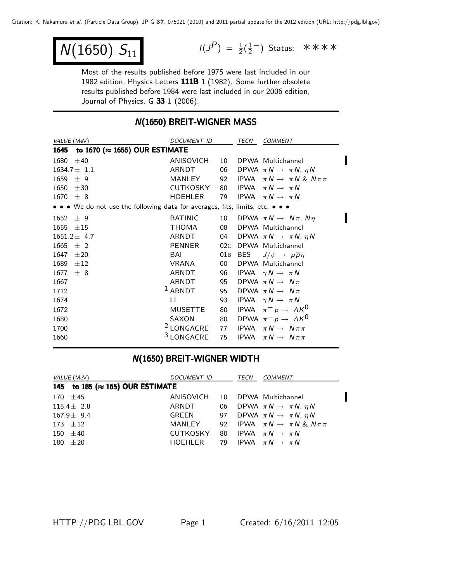$$
\overline{N(1650) S_{11}}
$$

 $N(1650) S_{11}$   $I(J^P) = \frac{1}{2}(\frac{1}{2})$  Status: \*\*\*\*

Most of the results published before 1975 were last included in our 1982 edition, Physics Letters 111B 1 (1982). Some further obsolete results published before 1984 were last included in our 2006 edition, Journal of Physics, G 33 1 (2006).

#### **N(1650) BREIT-WIGNER MASS**

| VALUE (MeV)                                                                   | DOCUMENT ID           |     | TECN | <b>COMMENT</b>                                 |  |  |  |
|-------------------------------------------------------------------------------|-----------------------|-----|------|------------------------------------------------|--|--|--|
| 1645 to 1670 (≈ 1655) OUR ESTIMATE                                            |                       |     |      |                                                |  |  |  |
| 1680 $\pm 40$                                                                 | ANISOVICH             |     |      | 10 DPWA Multichannel                           |  |  |  |
| $1634.7 \pm 1.1$                                                              | ARNDT                 |     |      | 06 DPWA $\pi N \rightarrow \pi N$ , $\eta N$   |  |  |  |
| $1659 \pm 9$                                                                  | MANLEY                | 92  |      | IPWA $\pi N \rightarrow \pi N \& N \pi \pi$    |  |  |  |
| $1650 \pm 30$                                                                 | CUTKOSKY              | 80  |      | IPWA $\pi N \rightarrow \pi N$                 |  |  |  |
| $1670 \pm 8$                                                                  | <b>HOEHLER</b>        | 79  |      | IPWA $\pi N \rightarrow \pi N$                 |  |  |  |
| • • • We do not use the following data for averages, fits, limits, etc. • • • |                       |     |      |                                                |  |  |  |
| $1652 \pm 9$                                                                  | <b>BATINIC</b>        |     |      | 10 DPWA $\pi N \rightarrow N \pi$ , $N \eta$   |  |  |  |
| $1655 \pm 15$                                                                 | THOMA                 | 08  |      | DPWA Multichannel                              |  |  |  |
| $1651.2 \pm 4.7$                                                              | ARNDT                 |     |      | 04 DPWA $\pi N \rightarrow \pi N$ , $\eta N$   |  |  |  |
| $1665 \pm 2$                                                                  | PENNER                | 02C |      | DPWA Multichannel                              |  |  |  |
| 1647<br>±20                                                                   | BAI                   |     |      | 01B BES $J/\psi \rightarrow p\overline{p}\eta$ |  |  |  |
| $1689 \pm 12$                                                                 | VRANA                 | 00  |      | DPWA Multichannel                              |  |  |  |
| 1677<br>± 8                                                                   | ARNDT                 | 96  |      | IPWA $\gamma N \rightarrow \pi N$              |  |  |  |
| 1667                                                                          | ARNDT                 |     |      | 95 DPWA $\pi N \rightarrow N \pi$              |  |  |  |
| 1712                                                                          | $1$ ARNDT             |     |      | 95 DPWA $\pi N \rightarrow N \pi$              |  |  |  |
| 1674                                                                          | LI.                   | 93  |      | IPWA $\gamma N \rightarrow \pi N$              |  |  |  |
| 1672                                                                          | MUSETTE               | 80  |      | IPWA $\pi^- p \to \Lambda K^0$                 |  |  |  |
| 1680                                                                          | <b>SAXON</b>          |     |      | 80 DPWA $\pi^- p \rightarrow A K^0$            |  |  |  |
| 1700                                                                          | <sup>2</sup> LONGACRE | 77  |      | IPWA $\pi N \rightarrow N \pi \pi$             |  |  |  |
| 1660                                                                          | <sup>3</sup> LONGACRE | 75  |      | IPWA $\pi N \rightarrow N \pi \pi$             |  |  |  |

### N(1650) BREIT-WIGNER WIDTH

| <i>VALUE</i> (MeV)                       | <i>DOCUMENT ID</i>                         |  | TECN COMMENT                                          |  |
|------------------------------------------|--------------------------------------------|--|-------------------------------------------------------|--|
| 145 to 185 ( $\approx$ 165) OUR ESTIMATE |                                            |  |                                                       |  |
| 170 $\pm 45$                             | ANISOVICH 10 DPWA Multichannel             |  |                                                       |  |
| $115.4 \pm 2.8$                          | ARNDT                                      |  | 06 DPWA $\pi N \rightarrow \pi N$ , $\eta N$          |  |
| $167.9 \pm 9.4$                          |                                            |  | GREEN 97 DPWA $\pi N \rightarrow \pi N$ , $\eta N$    |  |
| 173 $\pm 12$                             |                                            |  | MANLEY 92 IPWA $\pi N \rightarrow \pi N \& N \pi \pi$ |  |
| 150 $\pm 40$                             | CUTKOSKY 80 IPWA $\pi N \rightarrow \pi N$ |  |                                                       |  |
| 180 $\pm 20$                             | HOEHLER 79 IPWA $\pi N \rightarrow \pi N$  |  |                                                       |  |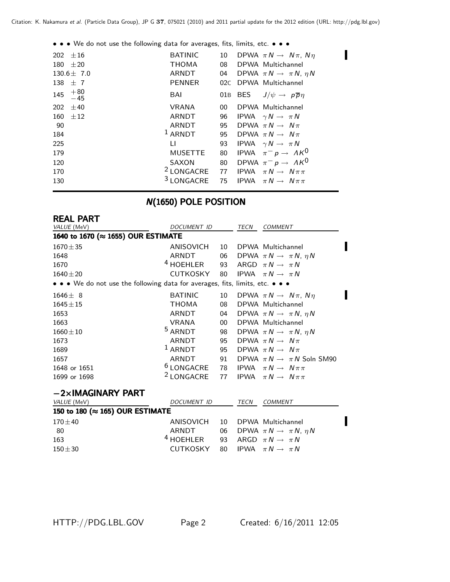• • • We do not use the following data for averages, fits, limits, etc. • • •

| 202 $\pm 16$<br>180 $\pm 20$<br>$130.6 \pm 7.0$<br>138 $\pm$ 7<br>$+80$<br>145<br>$-45$ | <b>BATINIC</b><br><b>THOMA</b><br>ARNDT<br><b>PENNER</b><br>BAI                                                 | 10<br>08<br>04                                      | DPWA $\pi N \rightarrow N \pi$ , $N \eta$<br>DPWA Multichannel<br>DPWA $\pi N \rightarrow \pi N$ , $\eta N$<br>02C DPWA Multichannel<br>01B BES $J/\psi \rightarrow p\overline{p}\eta$                                                                                                                                                         |
|-----------------------------------------------------------------------------------------|-----------------------------------------------------------------------------------------------------------------|-----------------------------------------------------|------------------------------------------------------------------------------------------------------------------------------------------------------------------------------------------------------------------------------------------------------------------------------------------------------------------------------------------------|
| 202<br>±40<br>160 $\pm$ 12<br>-90<br>184<br>225<br>179<br>120<br>170<br>130             | <b>VRANA</b><br>ARNDT<br>ARNDT<br>$1$ ARNDT<br>$\mathbf{H}$<br><b>MUSETTE</b><br>SAXON<br><sup>3</sup> LONGACRE | 00 <sup>°</sup><br>95<br>95<br>93<br>80<br>80<br>75 | DPWA Multichannel<br>96 IPWA $\gamma N \rightarrow \pi N$<br>DPWA $\pi N \rightarrow N \pi$<br>DPWA $\pi N \rightarrow N \pi$<br>IPWA $\gamma N \rightarrow \pi N$<br>IPWA $\pi^- p \to \Lambda K^0$<br>DPWA $\pi^- p \to \Lambda K^0$<br><sup>2</sup> LONGACRE 77 IPWA $\pi N \rightarrow N \pi \pi$<br>IPWA<br>$\pi N \rightarrow N \pi \pi$ |

# N(1650) POLE POSITION

| <b>REAL PART</b>                                                              |                                                             |        |             |                                              |
|-------------------------------------------------------------------------------|-------------------------------------------------------------|--------|-------------|----------------------------------------------|
| VALUE (MeV)                                                                   | DOCUMENT ID                                                 |        | TECN        | <b>COMMENT</b>                               |
| 1640 to 1670 (≈ 1655) OUR ESTIMATE                                            |                                                             |        |             |                                              |
| $1670 \pm 35$                                                                 | ANISOVICH                                                   |        |             | 10 DPWA Multichannel                         |
| 1648                                                                          | ARNDT                                                       |        |             | 06 DPWA $\pi N \rightarrow \pi N$ , $\eta N$ |
| 1670                                                                          | $4$ HOEHLER                                                 |        |             | 93 ARGD $\pi N \rightarrow \pi N$            |
| $1640 \pm 20$                                                                 | CUTKOSKY                                                    | 80     |             | IPWA $\pi N \rightarrow \pi N$               |
| • • • We do not use the following data for averages, fits, limits, etc. • • • |                                                             |        |             |                                              |
| $1646 \pm 8$                                                                  | <b>BATINIC</b>                                              | 10     |             | DPWA $\pi N \rightarrow N \pi$ , $N \eta$    |
| $1645 + 15$                                                                   | <b>THOMA</b>                                                | 08     |             | DPWA Multichannel                            |
| 1653                                                                          | ARNDT                                                       |        |             | 04 DPWA $\pi N \rightarrow \pi N$ , $\eta N$ |
| 1663                                                                          | VRANA                                                       | $00 -$ |             | DPWA Multichannel                            |
| $1660 \pm 10$                                                                 | <sup>5</sup> ARNDT                                          |        |             | 98 DPWA $\pi N \rightarrow \pi N$ , $\eta N$ |
| 1673                                                                          | ARNDT                                                       | 95     |             | DPWA $\pi N \rightarrow N \pi$               |
| 1689                                                                          | $1$ ARNDT                                                   |        |             | 95 DPWA $\pi N \rightarrow N \pi$            |
| 1657                                                                          | ARNDT                                                       |        |             | 91 DPWA $\pi N \rightarrow \pi N$ Soln SM90  |
| 1648 or 1651                                                                  | <sup>6</sup> LONGACRE 78 IPWA $\pi N \rightarrow N \pi \pi$ |        |             |                                              |
| 1699 or 1698                                                                  | <sup>2</sup> LONGACRE                                       | 77     |             | IPWA $\pi N \rightarrow N \pi \pi$           |
| $-2\times$ IMAGINARY PART                                                     |                                                             |        |             |                                              |
| VALUE (MeV)                                                                   | <b>DOCUMENT ID</b>                                          |        | <b>TECN</b> | <b>COMMENT</b>                               |
| 150 to 180 (≈ 165) OUR ESTIMATE                                               |                                                             |        |             |                                              |
| $170 + 40$                                                                    | ANISOVICH                                                   | 10     |             | DPWA Multichannel                            |
| 80                                                                            | <b>ARNDT</b>                                                | 06     |             | DPWA $\pi N \rightarrow \pi N$ , $\eta N$    |
| 163                                                                           | $4$ HOEHLER                                                 | 93     |             | ARGD $\pi N \rightarrow \pi N$               |
| $150 + 30$                                                                    | <b>CUTKOSKY</b>                                             | 80     |             | IPWA $\pi N \rightarrow \pi N$               |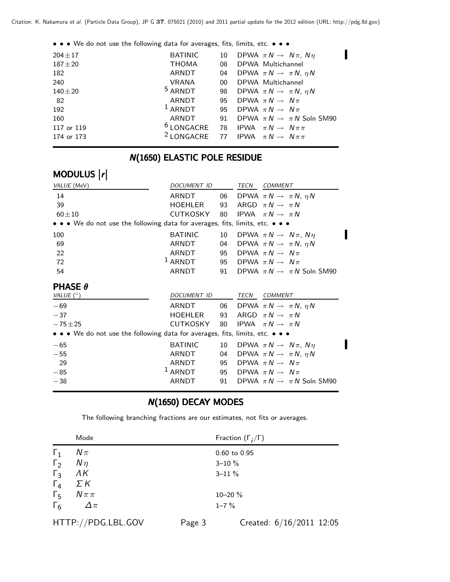| • • • We do not use the following data for averages, fits, limits, etc. • • • |                       |                 |                                                             |
|-------------------------------------------------------------------------------|-----------------------|-----------------|-------------------------------------------------------------|
| $204 \pm 17$                                                                  | <b>BATINIC</b>        | 10              | DPWA $\pi N \rightarrow N \pi$ , $N \eta$                   |
| $187 + 20$                                                                    | <b>THOMA</b>          | 08              | DPWA Multichannel                                           |
| 182                                                                           | ARNDT                 |                 | 04 DPWA $\pi N \rightarrow \pi N$ , $\eta N$                |
| 240                                                                           | <b>VRANA</b>          | 00 <sup>1</sup> | DPWA Multichannel                                           |
| $140 + 20$                                                                    | $5$ ARNDT             | 98              | DPWA $\pi N \rightarrow \pi N$ , $\eta N$                   |
| -82                                                                           | ARNDT                 |                 | 95 DPWA $\pi N \rightarrow N \pi$                           |
| 192                                                                           | $1$ ARNDT             | 95              | DPWA $\pi N \rightarrow N \pi$                              |
| 160                                                                           | ARNDT                 | 91              | DPWA $\pi N \rightarrow \pi N$ Soln SM90                    |
| 117 or 119                                                                    |                       |                 | <sup>6</sup> LONGACRE 78 IPWA $\pi N \rightarrow N \pi \pi$ |
| 174 or 173                                                                    | <sup>2</sup> LONGACRE |                 | 77 IPWA $\pi N \rightarrow N \pi \pi$                       |
|                                                                               |                       |                 |                                                             |

#### **N(1650) ELASTIC POLE RESIDUE**

# MODULUS |r|

| VALUE (MeV)                                                                                                           | DOCUMENT ID    |    | TECN | COMMENT                                     |
|-----------------------------------------------------------------------------------------------------------------------|----------------|----|------|---------------------------------------------|
| 14                                                                                                                    | ARNDT          | 06 |      | DPWA $\pi N \rightarrow \pi N$ , $\eta N$   |
| 39                                                                                                                    | HOEHLER        | 93 |      | ARGD $\pi N \rightarrow \pi N$              |
| $60 + 10$                                                                                                             | CUTKOSKY       | 80 |      | IPWA $\pi N \rightarrow \pi N$              |
| • • • We do not use the following data for averages, fits, limits, etc. • • •                                         |                |    |      |                                             |
| 100                                                                                                                   | <b>BATINIC</b> | 10 |      | DPWA $\pi N \rightarrow N \pi$ , $N \eta$   |
| 69                                                                                                                    | ARNDT          | 04 |      | DPWA $\pi N \rightarrow \pi N$ , $\eta N$   |
| 22                                                                                                                    | ARNDT          | 95 |      | DPWA $\pi N \rightarrow N \pi$              |
| 72                                                                                                                    | $1$ ARNDT      |    |      | 95 DPWA $\pi N \rightarrow N \pi$           |
| 54                                                                                                                    | ARNDT          |    |      | 91 DPWA $\pi N \rightarrow \pi N$ Soln SM90 |
| <b>PHASE <math>\theta</math></b>                                                                                      |                |    |      |                                             |
| VALUE $(^\circ)$                                                                                                      | DOCUMENT ID    |    | TECN | COMMENT                                     |
| $-69$                                                                                                                 | ARNDT          | 06 |      | DPWA $\pi N \rightarrow \pi N$ , $\eta N$   |
| $-37$                                                                                                                 | HOEHLER        | 93 |      | ARGD $\pi N \rightarrow \pi N$              |
| $-75 + 25$                                                                                                            | CUTKOSKY       | 80 |      | IPWA $\pi N \rightarrow \pi N$              |
| $\bullet \bullet \bullet$ We do not use the following data for averages, fits, limits, etc. $\bullet \bullet \bullet$ |                |    |      |                                             |
| $-65$                                                                                                                 | <b>BATINIC</b> | 10 |      | DPWA $\pi N \rightarrow N \pi$ , $N \eta$   |
| $-55$                                                                                                                 | ARNDT          | 04 |      | DPWA $\pi N \rightarrow \pi N$ , $\eta N$   |
| 29                                                                                                                    | ARNDT          | 95 |      | DPWA $\pi N \rightarrow N \pi$              |
| $-85$                                                                                                                 | $1$ ARNDT      | 95 |      | DPWA $\pi N \rightarrow N \pi$              |
| $-38$                                                                                                                 | ARNDT          | 91 |      | DPWA $\pi N \rightarrow \pi N$ Soln SM90    |
|                                                                                                                       |                |    |      |                                             |

### N(1650) DECAY MODES

The following branching fractions are our estimates, not fits or averages.

|            | Mode               |        | Fraction $(\Gamma_i/\Gamma)$ |
|------------|--------------------|--------|------------------------------|
| $\Gamma_1$ | $N\pi$             |        | $0.60$ to $0.95$             |
| $\Gamma_2$ | $N\eta$            |        | $3 - 10 \%$                  |
| $\Gamma_3$ | $\Lambda K$        |        | $3 - 11 \%$                  |
| $\Gamma_4$ | ΣΚ                 |        |                              |
| $\Gamma_5$ | $N\pi\pi$          |        | 10-20 %                      |
| $\Gamma_6$ | $\Delta\pi$        |        | $1 - 7\%$                    |
|            | HTTP://PDG.LBL.GOV | Page 3 | Created: $6/16/2011$ 12:05   |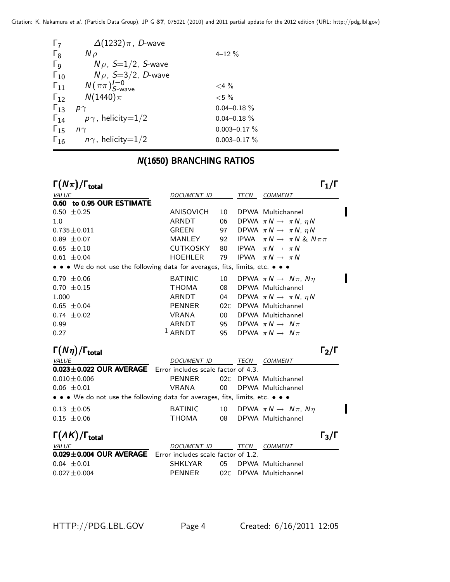| $\Gamma_7$            | $\Delta(1232)\pi$ , D-wave        |                   |
|-----------------------|-----------------------------------|-------------------|
| $\Gamma_8$            | $N \rho$                          | $4 - 12 \%$       |
| $\Gamma_{\mathsf{Q}}$ | $N\rho$ , S=1/2, S-wave           |                   |
| $\Gamma_{10}$         | $N\rho$ , S=3/2, D-wave           |                   |
| $\Gamma_{11}$         | $N(\pi\pi)_{S\text{-wave}}^{I=0}$ | $<$ 4 $\%$        |
| $\Gamma_{12}$         | $N(1440)\pi$                      | ${<}5\%$          |
| $\Gamma_{13}$         | $p\gamma$                         | $0.04 - 0.18 \%$  |
| $\Gamma_{14}$         | $p\gamma$ , helicity=1/2          | $0.04 - 0.18 \%$  |
| $\Gamma_{15}$         | $n\gamma$                         | $0.003 - 0.17 \%$ |
| $\Gamma_{16}$         | $n\gamma$ , helicity=1/2          | $0.003 - 0.17 \%$ |

### **N(1650) BRANCHING RATIOS**

| $\Gamma(N\pi)/\Gamma_{\rm total}$                                             |                                     |        |             | $\mathsf{\Gamma}_1/\mathsf{\Gamma}$       |  |
|-------------------------------------------------------------------------------|-------------------------------------|--------|-------------|-------------------------------------------|--|
| <b>VALUE</b>                                                                  | DOCUMENT ID                         |        | TECN        | <b>COMMENT</b>                            |  |
| 0.60 to 0.95 OUR ESTIMATE                                                     |                                     |        |             |                                           |  |
| $0.50 \pm 0.25$                                                               | ANISOVICH                           | 10     |             | DPWA Multichannel                         |  |
| 1.0                                                                           | <b>ARNDT</b>                        | 06     |             | DPWA $\pi N \rightarrow \pi N$ , $\eta N$ |  |
| $0.735 \pm 0.011$                                                             | <b>GREEN</b>                        | 97     |             | DPWA $\pi N \rightarrow \pi N$ , $\eta N$ |  |
| $0.89 \pm 0.07$                                                               | MANLEY                              | 92     | <b>IPWA</b> | $\pi N \rightarrow \pi N$ & $N \pi \pi$   |  |
| $0.65 \pm 0.10$                                                               | CUTKOSKY                            | 80     |             | IPWA $\pi N \rightarrow \pi N$            |  |
| $0.61 \pm 0.04$                                                               | <b>HOEHLER</b>                      | 79     |             | IPWA $\pi N \rightarrow \pi N$            |  |
| • • • We do not use the following data for averages, fits, limits, etc. • • • |                                     |        |             |                                           |  |
| $0.79 \pm 0.06$                                                               | <b>BATINIC</b>                      | 10     |             | DPWA $\pi N \rightarrow N \pi$ , $N \eta$ |  |
| $0.70 \pm 0.15$                                                               | <b>THOMA</b>                        | 08     |             | DPWA Multichannel                         |  |
| 1.000                                                                         | <b>ARNDT</b>                        | 04     |             | DPWA $\pi N \rightarrow \pi N$ , $\eta N$ |  |
| $0.65 \pm 0.04$                                                               | <b>PENNER</b>                       |        |             | 02C DPWA Multichannel                     |  |
| $0.74 \pm 0.02$                                                               | <b>VRANA</b>                        | $00\,$ |             | DPWA Multichannel                         |  |
| 0.99                                                                          | <b>ARNDT</b>                        | 95     |             | DPWA $\pi N \rightarrow N \pi$            |  |
| 0.27                                                                          | $1$ ARNDT                           | 95     |             | DPWA $\pi N \rightarrow N \pi$            |  |
| $\Gamma(N\eta)/\Gamma_{\rm total}$                                            |                                     |        |             | $\mathsf{\Gamma}_2/\mathsf{\Gamma}$       |  |
| <b>VALUE</b>                                                                  | DOCUMENT ID                         |        | TECN        | <i>COMMENT</i>                            |  |
| $0.023 \pm 0.022$ OUR AVERAGE                                                 | Error includes scale factor of 4.3. |        |             |                                           |  |
| $0.010 \pm 0.006$                                                             | <b>PENNER</b>                       |        |             | 02C DPWA Multichannel                     |  |
| $0.06 \pm 0.01$                                                               | <b>VRANA</b>                        | 00     |             | DPWA Multichannel                         |  |
| • • • We do not use the following data for averages, fits, limits, etc. • • • |                                     |        |             |                                           |  |
| $0.13 \pm 0.05$                                                               | <b>BATINIC</b>                      | 10     |             | DPWA $\pi N \rightarrow N \pi$ , $N \eta$ |  |
| $0.15 \pm 0.06$                                                               | <b>THOMA</b>                        | 08     |             | DPWA Multichannel                         |  |
| $\Gamma(\Lambda K)/\Gamma_{\rm total}$                                        |                                     |        |             | $\Gamma_3/\Gamma$                         |  |
| <b>VALUE</b>                                                                  | <b>DOCUMENT ID</b>                  |        | TECN        | <b>COMMENT</b>                            |  |
| $0.029 \pm 0.004$ OUR AVERAGE                                                 | Error includes scale factor of 1.2. |        |             |                                           |  |
| $0.04 \pm 0.01$                                                               | <b>SHKLYAR</b>                      | 05     |             | DPWA Multichannel                         |  |
| $0.027 \pm 0.004$                                                             | <b>PENNER</b>                       |        |             | 02C DPWA Multichannel                     |  |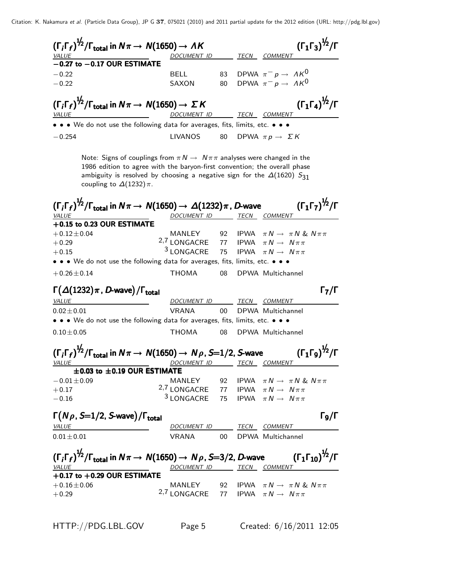| <b>VALUE</b>     |                                                             | $(\Gamma_i \Gamma_f)^{1/2} / \Gamma_{total}$ in $N \pi \rightarrow N(1650) \rightarrow AK$<br>DOCUMENT ID                                                                                                                                                 |                 | TECN COMMENT                              | $({\Gamma_1 \Gamma_3})^{\frac{1}{2}}/{\Gamma}$ |
|------------------|-------------------------------------------------------------|-----------------------------------------------------------------------------------------------------------------------------------------------------------------------------------------------------------------------------------------------------------|-----------------|-------------------------------------------|------------------------------------------------|
|                  | $-0.27$ to $-0.17$ OUR ESTIMATE                             |                                                                                                                                                                                                                                                           |                 |                                           |                                                |
| $-0.22$          |                                                             | <b>BELL</b>                                                                                                                                                                                                                                               |                 | 83 DPWA $\pi^- p \to A K^0$               |                                                |
| $-0.22$          |                                                             | SAXON                                                                                                                                                                                                                                                     | 80              | DPWA $\pi^- p \to A K^0$                  |                                                |
| <i>VALUE</i>     |                                                             | $(\Gamma_i \Gamma_f)^{1/2}/\Gamma_{\text{total}}$ in $N\pi \to N(1650) \to \Sigma K$<br><u>DOCUMENT ID</u>                                                                                                                                                |                 | <u>TECN COMMENT</u>                       | $(\Gamma_1 \Gamma_4)^{\frac{1}{2}} / \Gamma$   |
|                  |                                                             | • • • We do not use the following data for averages, fits, limits, etc. • • •                                                                                                                                                                             |                 |                                           |                                                |
| $-0.254$         |                                                             | <b>LIVANOS</b>                                                                                                                                                                                                                                            | 80              | DPWA $\pi p \rightarrow \Sigma K$         |                                                |
|                  |                                                             |                                                                                                                                                                                                                                                           |                 |                                           |                                                |
|                  | coupling to $\Delta(1232)\pi$ .                             | Note: Signs of couplings from $\pi N \to N \pi \pi$ analyses were changed in the<br>1986 edition to agree with the baryon-first convention; the overall phase<br>ambiguity is resolved by choosing a negative sign for the $\Delta(1620)$ S <sub>31</sub> |                 |                                           |                                                |
|                  |                                                             | $(\Gamma_i\Gamma_f)^{1/2}/\Gamma_{\rm total}$ in $N\pi\to\mathcal{N}(1650)\to\Delta(1232)\pi$ , D-wave                                                                                                                                                    |                 |                                           | $(\Gamma_1\Gamma_7)^{\frac{1}{2}}$ /Г          |
| <i>VALUE</i>     | +0.15 to 0.23 OUR ESTIMATE                                  | DOCUMENT ID TECN COMMENT                                                                                                                                                                                                                                  |                 |                                           |                                                |
| $+0.12 \pm 0.04$ |                                                             | MANLEY 92 IPWA $\pi N \rightarrow \pi N$ & $N \pi \pi$                                                                                                                                                                                                    |                 |                                           |                                                |
| $+0.29$          |                                                             | 2,7 LONGACRE 77 IPWA $\pi N \rightarrow N \pi \pi$                                                                                                                                                                                                        |                 |                                           |                                                |
| $+0.15$          |                                                             | <sup>3</sup> LONGACRE                                                                                                                                                                                                                                     | 75              | <b>IPWA</b> $\pi N \rightarrow N \pi \pi$ |                                                |
|                  |                                                             | • • • We do not use the following data for averages, fits, limits, etc. • • •                                                                                                                                                                             |                 |                                           |                                                |
| $+0.26 \pm 0.14$ |                                                             | THOMA                                                                                                                                                                                                                                                     |                 | 08 DPWA Multichannel                      |                                                |
|                  | $\Gamma(\Delta(1232)\pi, D$ -wave)/ $\Gamma_{\text{total}}$ |                                                                                                                                                                                                                                                           |                 |                                           | $\Gamma_7/\Gamma$                              |
| <b>VALUE</b>     |                                                             | DOCUMENT ID TECN COMMENT                                                                                                                                                                                                                                  |                 |                                           |                                                |
| $0.02 \pm 0.01$  |                                                             | <b>VRANA</b>                                                                                                                                                                                                                                              | 00 <sup>1</sup> | DPWA Multichannel                         |                                                |
|                  |                                                             | • • • We do not use the following data for averages, fits, limits, etc. • • •                                                                                                                                                                             |                 |                                           |                                                |
| $0.10 \pm 0.05$  |                                                             | <b>THOMA</b>                                                                                                                                                                                                                                              | 08              | DPWA Multichannel                         |                                                |
| <b>VALUE</b>     |                                                             | $(\Gamma_i \Gamma_f)^{\frac{1}{2}} / \Gamma_{\text{total}}$ in $N\pi \to N(1650) \to N\rho$ , S=1/2, S-wave $(\Gamma_1 \Gamma_9)^{\frac{1}{2}} / \Gamma$<br>DOCUMENT ID TECN COMMENT                                                                      |                 |                                           |                                                |
|                  | $\pm$ 0.03 to $\pm$ 0.19 OUR ESTIMATE                       |                                                                                                                                                                                                                                                           |                 |                                           |                                                |
| $-0.01 \pm 0.09$ |                                                             | MANLEY 92 IPWA $\pi N \rightarrow \pi N$ & $N \pi \pi$                                                                                                                                                                                                    |                 |                                           |                                                |
| $+0.17$          |                                                             | 2,7 LONGACRE 77 IPWA $\pi N \rightarrow N \pi \pi$                                                                                                                                                                                                        |                 |                                           |                                                |
| $-0.16$          |                                                             | <sup>3</sup> LONGACRE 75 IPWA $\pi N \rightarrow N \pi \pi$                                                                                                                                                                                               |                 |                                           |                                                |
|                  | $\Gamma(N\rho, S=1/2, S$ -wave)/ $\Gamma_{\text{total}}$    |                                                                                                                                                                                                                                                           |                 |                                           | $\Gamma_{9}/\Gamma$                            |
| <b>VALUE</b>     |                                                             | DOCUMENT ID TECN COMMENT                                                                                                                                                                                                                                  |                 |                                           |                                                |
| $0.01 \pm 0.01$  |                                                             | VRANA 00 DPWA Multichannel                                                                                                                                                                                                                                |                 |                                           |                                                |
| <b>VALUE</b>     |                                                             | $(\Gamma_i \Gamma_f)^{\frac{1}{2}} / \Gamma_{\text{total}}$ in $N \pi \to N(1650) \to N \rho$ , S=3/2, D-wave $(\Gamma_1 \Gamma_{10})^{\frac{1}{2}} / \Gamma$<br>DOCUMENT ID TECN COMMENT                                                                 |                 |                                           |                                                |
|                  | $+0.17$ to $+0.29$ OUR ESTIMATE                             |                                                                                                                                                                                                                                                           |                 |                                           |                                                |
|                  |                                                             | MANLEY 92 IPWA $\pi N \rightarrow \pi N \& N \pi \pi$                                                                                                                                                                                                     |                 |                                           |                                                |
| $+0.16 \pm 0.06$ |                                                             | 2,7 LONGACRE 77 IPWA $\pi N \rightarrow N \pi \pi$                                                                                                                                                                                                        |                 |                                           |                                                |

HTTP://PDG.LBL.GOV Page 5 Created: 6/16/2011 12:05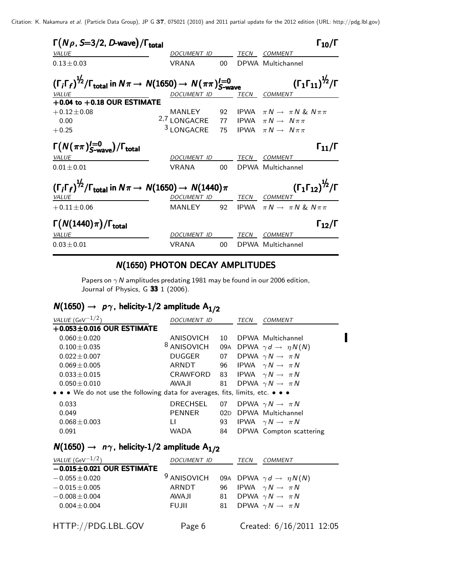| $\Gamma(N\rho, S=3/2, D$ -wave)/ $\Gamma_{\text{total}}$                                                                  |                                                   |                 |      | $\Gamma_{10}/\Gamma$                                                                                                             |
|---------------------------------------------------------------------------------------------------------------------------|---------------------------------------------------|-----------------|------|----------------------------------------------------------------------------------------------------------------------------------|
| <i>VALUE</i>                                                                                                              | DOCUMENT ID                                       |                 | TECN | COMMENT                                                                                                                          |
| $0.13 \pm 0.03$                                                                                                           | <b>VRANA</b>                                      | 00 <sup>°</sup> |      | DPWA Multichannel                                                                                                                |
| $(\Gamma_i \Gamma_f)^{1/2}/\Gamma_{\text{total}}$ in $N\pi \to N(1650) \to N(\pi\pi)_{S-\text{wave}}^{I=0}$               |                                                   |                 |      | $(\Gamma_1 \Gamma_{11})^{\frac{1}{2}} / \Gamma$                                                                                  |
| VALUE                                                                                                                     | DOCUMENT ID                                       |                 |      | TECN COMMENT                                                                                                                     |
| $+0.04$ to $+0.18$ OUR ESTIMATE<br>$+0.12 \pm 0.08$<br>0.00<br>$+0.25$                                                    | MANLEY<br><sup>2,7</sup> LONGACRE<br>$3$ LONGACRE |                 |      | 92 IPWA $\pi N \rightarrow \pi N \& N \pi \pi$<br>77 IPWA $\pi N \rightarrow N \pi \pi$<br>75 IPWA $\pi N \rightarrow N \pi \pi$ |
| $\Gamma(N(\pi\pi)_{S\text{-wave}}^{I=0})/\Gamma_{\text{total}}$<br><b>VALUE</b>                                           | DOCUMENT ID                                       |                 | TECN | $\Gamma_{11}/\Gamma$<br>COMMENT                                                                                                  |
| $0.01 \pm 0.01$                                                                                                           | <b>VRANA</b>                                      | $00 -$          |      | DPWA Multichannel                                                                                                                |
| $(\Gamma_i \Gamma_f)^{\frac{1}{2}} / \Gamma_{\text{total}}$ in $N\pi \rightarrow N(1650) \rightarrow N(1440)\pi$<br>VALUE | DOCUMENT ID TECN COMMENT                          |                 |      | $(\Gamma_1 \Gamma_{12})^{\frac{1}{2}} / \Gamma$                                                                                  |
| $+0.11 \pm 0.06$                                                                                                          |                                                   |                 |      | MANLEY 92 IPWA $\pi N \rightarrow \pi N \& N \pi \pi$                                                                            |
| $\Gamma(N(1440)\pi)/\Gamma_{\rm total}$<br><b>VALUE</b>                                                                   | DOCUMENT ID                                       |                 | TECN | $\Gamma_{12}/\Gamma$<br><i>COMMENT</i>                                                                                           |
| $0.03 \pm 0.01$                                                                                                           | <b>VRANA</b>                                      | $00\,$          |      | DPWA Multichannel                                                                                                                |

#### N(1650) PHOTON DECAY AMPLITUDES

Papers on  $\gamma$  N amplitudes predating 1981 may be found in our 2006 edition, Journal of Physics, G 33 1 (2006).

# $N(1650) \rightarrow p\gamma$ , helicity-1/2 amplitude A<sub>1/2</sub>

| VALUE (GeV $^{-1/2}$ )                                                        | DOCUMENT ID            |     | TECN | <i>COMMENT</i>                            |
|-------------------------------------------------------------------------------|------------------------|-----|------|-------------------------------------------|
| $+0.053\pm0.016$ OUR ESTIMATE                                                 |                        |     |      |                                           |
| $0.060 + 0.020$                                                               | ANISOVICH              | 10  |      | DPWA Multichannel                         |
| $0.100 \pm 0.035$                                                             | <sup>8</sup> ANISOVICH |     |      | 09A DPWA $\gamma d \rightarrow \eta N(N)$ |
| $0.022 + 0.007$                                                               | DUGGER                 | 07  |      | DPWA $\gamma N \rightarrow \pi N$         |
| $0.069 \pm 0.005$                                                             | ARNDT                  |     |      | 96 IPWA $\gamma N \rightarrow \pi N$      |
| $0.033 \pm 0.015$                                                             | CRAWFORD               |     |      | 83 IPWA $\gamma N \rightarrow \pi N$      |
| $0.050 + 0.010$                                                               | AWA JI                 |     |      | 81 DPWA $\gamma N \rightarrow \pi N$      |
| • • • We do not use the following data for averages, fits, limits, etc. • • • |                        |     |      |                                           |
| 0.033                                                                         | <b>DRECHSEL</b>        | 07  |      | DPWA $\gamma N \rightarrow \pi N$         |
| 0.049                                                                         | <b>PENNER</b>          | 02D |      | DPWA Multichannel                         |
| $0.068 \pm 0.003$                                                             | $\mathsf{L}$           | 93  |      | IPWA $\gamma N \rightarrow \pi N$         |
| 0.091                                                                         | <b>WADA</b>            | 84  |      | DPWA Compton scattering                   |

### $N(1650) \rightarrow n\gamma$ , helicity-1/2 amplitude A<sub>1/2</sub>

| VALUE (GeV $-1/2$ )             | <b>DOCUMENT ID</b>     |    | TECN | COMMENT                                   |
|---------------------------------|------------------------|----|------|-------------------------------------------|
| $-0.015 \pm 0.021$ OUR ESTIMATE |                        |    |      |                                           |
| $-0.055 \pm 0.020$              | <sup>9</sup> ANISOVICH |    |      | 09A DPWA $\gamma d \rightarrow \eta N(N)$ |
| $-0.015 \pm 0.005$              | ARNDT                  | 96 |      | IPWA $\gamma N \rightarrow \pi N$         |
| $-0.008 \pm 0.004$              | <b>AWAJI</b>           | 81 |      | DPWA $\gamma N \rightarrow \pi N$         |
| $0.004 \pm 0.004$               | <b>FUJII</b>           | 81 |      | DPWA $\gamma N \rightarrow \pi N$         |
|                                 |                        |    |      |                                           |
| HTTP://PDG.LBL.GOV              | Page 6                 |    |      | Created: 6/16/2011 12:05                  |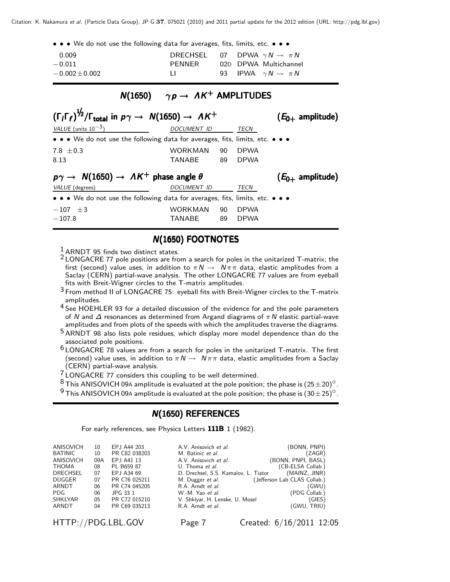• • • We do not use the following data for averages, fits, limits, etc. • • •

| 0.009              | DRECHSEL 07 DPWA $\gamma N \rightarrow \pi N$ |  |                              |
|--------------------|-----------------------------------------------|--|------------------------------|
| $-0.011$           | PFNNFR                                        |  | 02D DPWA Multichannel        |
| $-0.002 \pm 0.002$ | $\perp$                                       |  | 93 IPWA $\gamma N \to \pi N$ |

#### $N(1650)$   $\gamma p \rightarrow AK^+$  AMPLITUDES

| $(\Gamma_i \Gamma_f)^{\frac{1}{2}} / \Gamma_{\text{total}}$ in $p\gamma \rightarrow N(1650) \rightarrow AK^+$ |                    |    |             | $(E_{0+}$ amplitude) |  |
|---------------------------------------------------------------------------------------------------------------|--------------------|----|-------------|----------------------|--|
| VALUE (units $10^{-3}$ )                                                                                      | <b>DOCUMENT ID</b> |    | <b>TECN</b> |                      |  |
| • • • We do not use the following data for averages, fits, limits, etc. • • •                                 |                    |    |             |                      |  |
| 7.8 $\pm$ 0.3                                                                                                 | WORKMAN            | 90 | <b>DPWA</b> |                      |  |
| 8.13                                                                                                          | TANABE             | 89 | <b>DPWA</b> |                      |  |
| $p\gamma \rightarrow N(1650) \rightarrow AK^+$ phase angle $\theta$<br>$(E_{0+}$ amplitude)                   |                    |    |             |                      |  |
|                                                                                                               |                    |    |             |                      |  |
| VALUE (degrees)                                                                                               | DOCUMENT ID        |    | TECN        |                      |  |
| • • • We do not use the following data for averages, fits, limits, etc. • • •                                 |                    |    |             |                      |  |

#### N(1650) FOOTNOTES

<sup>1</sup> ARNDT 95 finds two distinct states.

- 2 LONGACRE 77 pole positions are from a search for poles in the unitarized T-matrix; the first (second) value uses, in addition to  $\pi N \to N \pi \pi$  data, elastic amplitudes from a Saclay (CERN) partial-wave analysis. The other LONGACRE 77 values are from eyeball fits with Breit-Wigner circles to the T-matrix amplitudes.
- $3$  From method II of LONGACRE 75: eyeball fits with Breit-Wigner circles to the T-matrix amplitudes.
- <sup>4</sup> See HOEHLER 93 for a detailed discussion of the evidence for and the pole parameters of N and  $\Delta$  resonances as determined from Argand diagrams of  $\pi N$  elastic partial-wave amplitudes and from plots of the speeds with which the amplitudes traverse the diagrams.
- 5 ARNDT 98 also lists pole residues, which display more model dependence than do the associated pole positions.
- 6 LONGACRE 78 values are from a search for poles in the unitarized T-matrix. The first (second) value uses, in addition to  $\pi N \to N \pi \pi$  data, elastic amplitudes from a Saclay (CERN) partial-wave analysis.
- 
- TONGACRE 77 considers this coupling to be well determined.<br><sup>7</sup> LONGACRE 77 considers this coupling to be well determined.<br><sup>8</sup> This ANISOVICH 09A amplitude is evaluated at the pole position; the phase is (25 ± 20)<sup>0</sup>.
- <sup>9</sup> This ANISOVICH 09A amplitude is evaluated at the pole position; the phase is  $(30\pm 25)^\circ$ .

#### $N(1650)$  REFERENCES

For early references, see Physics Letters 111B 1 (1982).

| ANISOVICH        | 10  | EPJ A44 203   | A.V. Anisovich et al.                | (BONN, PNPI)                 |
|------------------|-----|---------------|--------------------------------------|------------------------------|
| <b>BATINIC</b>   | 10  | PR C82 038203 | M. Batinic et al.                    | (ZAGR)                       |
| <b>ANISOVICH</b> | 09A | EPJ A41 13    | A.V. Anisovich et al.                | (BONN, PNPI, BASL)           |
| <b>THOMA</b>     | 08  | PL B659 87    | U. Thoma <i>et al.</i>               | (CB-ELSA Collab.)            |
| <b>DRECHSEL</b>  | 07  | EPJ A34 69    | D. Drechsel, S.S. Kamalov, L. Tiator | (MAINZ, JINR)                |
| <b>DUGGER</b>    | 07  | PR C76 025211 | M. Dugger et al.                     | (Jefferson Lab CLAS Collab.) |
| ARNDT            | 06  | PR C74 045205 | R.A. Arndt et al.                    | (GWU)                        |
| PDG.             | 06  | JPG 33 1      | W.-M. Yao et al.                     | (PDG Collab.)                |
| <b>SHKLYAR</b>   | 05  | PR C72 015210 | V. Shklyar, H. Lenske, U. Mosel      | (GIES)                       |
| ARNDT            | 04  | PR C69 035213 | R.A. Arndt et al.                    | (GWU, TRIU)                  |
|                  |     |               |                                      |                              |

HTTP://PDG.LBL.GOV Page 7 Created: 6/16/2011 12:05